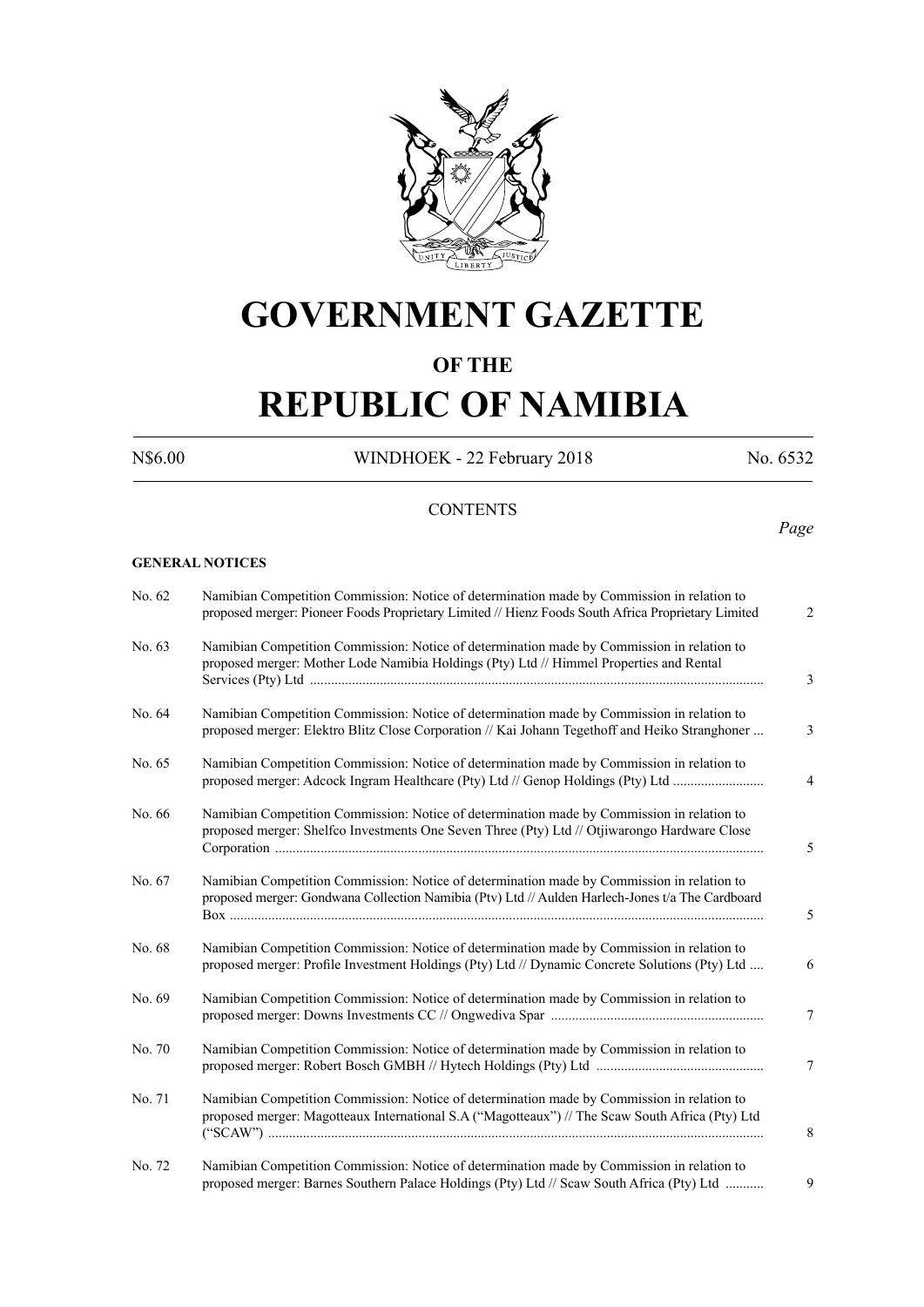

# **GOVERNMENT GAZETTE**

# **OF THE**

# **REPUBLIC OF NAMIBIA**

N\$6.00 WINDHOEK - 22 February 2018 No. 6532

*Page*

# **CONTENTS**

**GENERAL NOTICES**

| No. 62 | Namibian Competition Commission: Notice of determination made by Commission in relation to<br>proposed merger: Pioneer Foods Proprietary Limited // Hienz Foods South Africa Proprietary Limited | $\overline{2}$ |
|--------|--------------------------------------------------------------------------------------------------------------------------------------------------------------------------------------------------|----------------|
| No. 63 | Namibian Competition Commission: Notice of determination made by Commission in relation to<br>proposed merger: Mother Lode Namibia Holdings (Pty) Ltd // Himmel Properties and Rental            | 3              |
| No. 64 | Namibian Competition Commission: Notice of determination made by Commission in relation to<br>proposed merger: Elektro Blitz Close Corporation // Kai Johann Tegethoff and Heiko Stranghoner     | 3              |
| No. 65 | Namibian Competition Commission: Notice of determination made by Commission in relation to<br>proposed merger: Adcock Ingram Healthcare (Pty) Ltd // Genop Holdings (Pty) Ltd                    | 4              |
| No. 66 | Namibian Competition Commission: Notice of determination made by Commission in relation to<br>proposed merger: Shelfco Investments One Seven Three (Pty) Ltd // Otjiwarongo Hardware Close       | 5              |
| No. 67 | Namibian Competition Commission: Notice of determination made by Commission in relation to<br>proposed merger: Gondwana Collection Namibia (Ptv) Ltd // Aulden Harlech-Jones t/a The Cardboard   | 5              |
| No. 68 | Namibian Competition Commission: Notice of determination made by Commission in relation to<br>proposed merger: Profile Investment Holdings (Pty) Ltd // Dynamic Concrete Solutions (Pty) Ltd     | 6              |
| No. 69 | Namibian Competition Commission: Notice of determination made by Commission in relation to                                                                                                       | 7              |
| No. 70 | Namibian Competition Commission: Notice of determination made by Commission in relation to                                                                                                       | 7              |
| No. 71 | Namibian Competition Commission: Notice of determination made by Commission in relation to<br>proposed merger: Magotteaux International S.A ("Magotteaux") // The Scaw South Africa (Pty) Ltd    | 8              |
| No. 72 | Namibian Competition Commission: Notice of determination made by Commission in relation to<br>proposed merger: Barnes Southern Palace Holdings (Pty) Ltd // Scaw South Africa (Pty) Ltd          | 9              |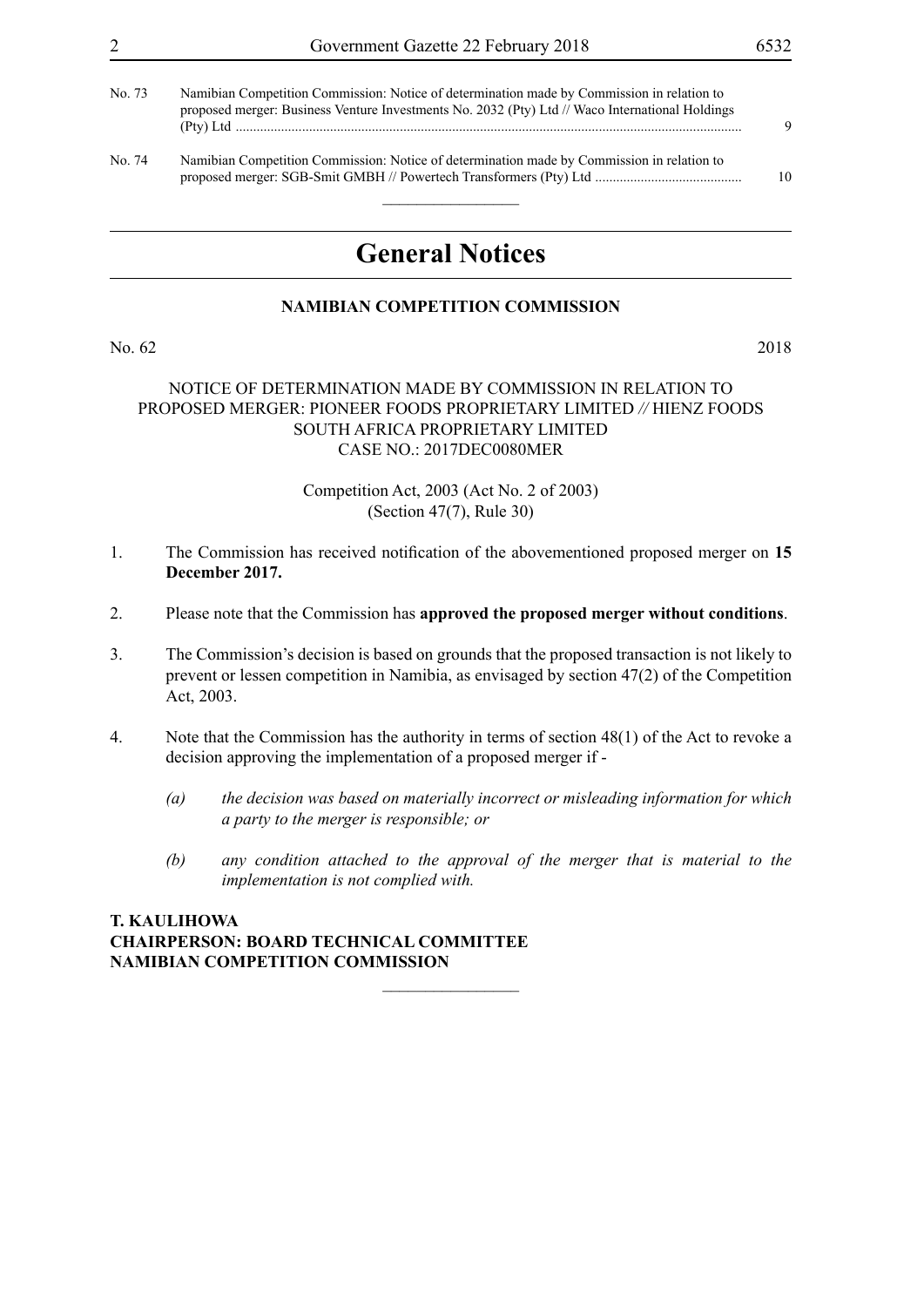|  | Government Gazette 22 February 2018 | 6532 |
|--|-------------------------------------|------|
|--|-------------------------------------|------|

| No. 73 | Namibian Competition Commission: Notice of determination made by Commission in relation to<br>proposed merger: Business Venture Investments No. 2032 (Pty) Ltd // Waco International Holdings | 9  |
|--------|-----------------------------------------------------------------------------------------------------------------------------------------------------------------------------------------------|----|
| No. 74 | Namibian Competition Commission: Notice of determination made by Commission in relation to                                                                                                    | 10 |

# **General Notices**

# **NAMIBIAN COMPETITION COMMISSION**

No. 62 2018

# NOTICE OF DETERMINATION MADE BY COMMISSION IN RELATION TO PROPOSED MERGER: PIONEER FOODS PROPRIETARY LIMITED *//* HIENZ FOODS SOUTH AFRICA PROPRIETARY LIMITED CASE NO.: 2017DEC0080MER

# Competition Act, 2003 (Act No. 2 of 2003) (Section 47(7), Rule 30)

- 1. The Commission has received notification of the abovementioned proposed merger on **15 December 2017.**
- 2. Please note that the Commission has **approved the proposed merger without conditions**.
- 3. The Commission's decision is based on grounds that the proposed transaction is not likely to prevent or lessen competition in Namibia, as envisaged by section 47(2) of the Competition Act, 2003.
- 4. Note that the Commission has the authority in terms of section 48(1) of the Act to revoke a decision approving the implementation of a proposed merger if -

 $\overline{\phantom{a}}$  , where  $\overline{\phantom{a}}$ 

- *(a) the decision was based on materially incorrect or misleading information for which a party to the merger is responsible; or*
- *(b) any condition attached to the approval of the merger that is material to the implementation is not complied with.*

# **T. KAULIHOWA Chairperson: BOARD TECHNICAL COMMITTEE Namibian Competition Commission**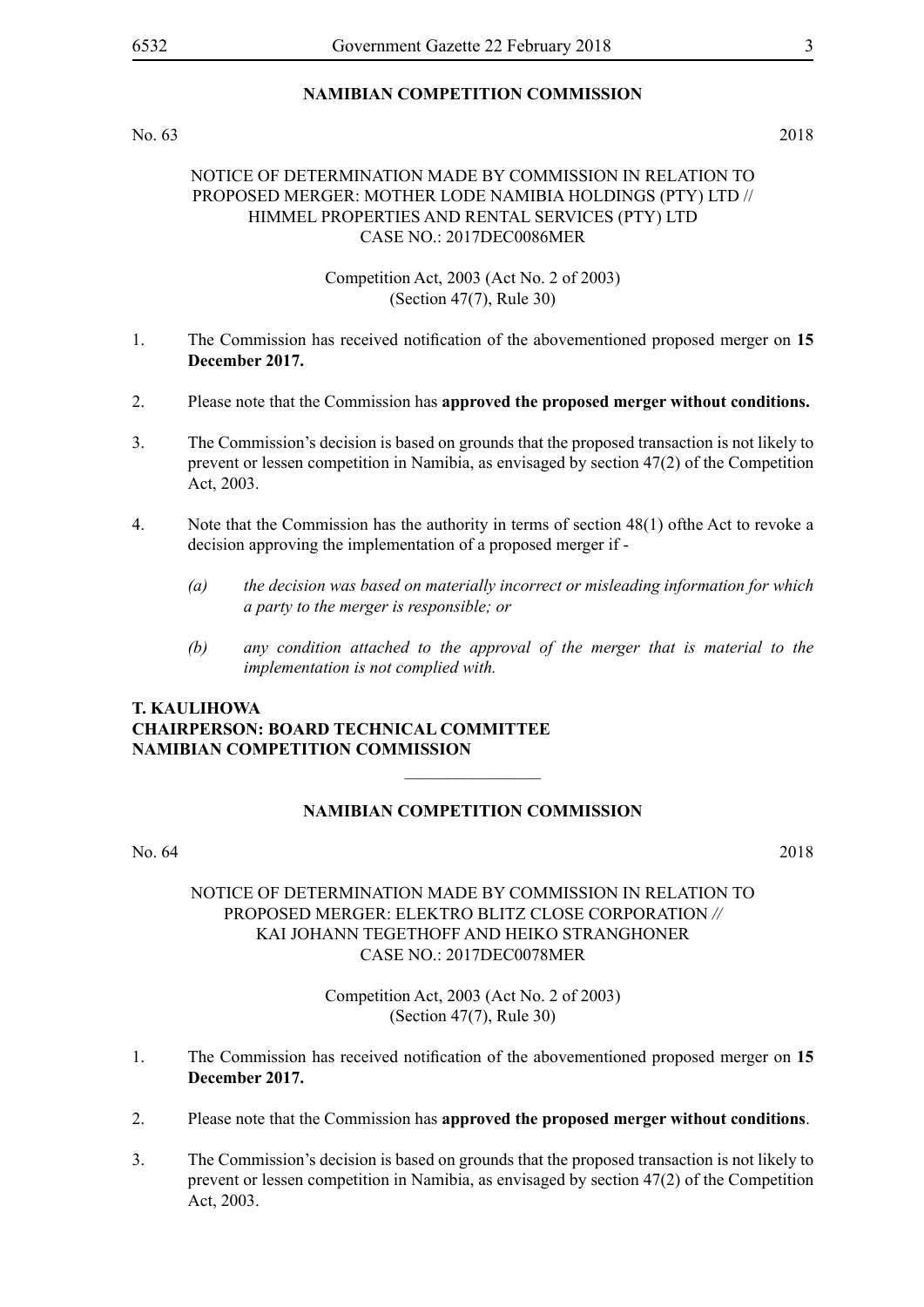# No. 63 2018

# NOTICE OF DETERMINATION MADE BY COMMISSION IN RELATION TO PROPOSED MERGER: MOTHER LODE NAMIBIA HOLDINGS (PTY) LTD // HIMMEL PROPERTIES AND RENTAL SERVICES (PTY) LTD CASE NO.: 2017DEC0086MER

Competition Act, 2003 (Act No. 2 of 2003) (Section 47(7), Rule 30)

- 1. The Commission has received notification of the abovementioned proposed merger on **15 December 2017.**
- 2. Please note that the Commission has **approved the proposed merger without conditions.**
- 3. The Commission's decision is based on grounds that the proposed transaction is not likely to prevent or lessen competition in Namibia, as envisaged by section 47(2) of the Competition Act, 2003.
- 4. Note that the Commission has the authority in terms of section 48(1) ofthe Act to revoke a decision approving the implementation of a proposed merger if -
	- *(a) the decision was based on materially incorrect or misleading information for which a party to the merger is responsible; or*
	- *(b) any condition attached to the approval of the merger that is material to the implementation is not complied with.*

# **T. KAULIHOWA Chairperson: BOARD TECHNICAL COMMITTEE Namibian Competition Commission**

# **NAMIBIAN COMPETITION COMMISSION**

 $\overline{\phantom{a}}$  , where  $\overline{\phantom{a}}$ 

### No. 64 2018

# NOTICE OF DETERMINATION MADE BY COMMISSION IN RELATION TO PROPOSED MERGER: ELEKTRO BLITZ CLOSE CORPORATION *//*  KAI JOHANN TEGETHOFF AND HEIKO STRANGHONER CASE NO.: 2017DEC0078MER

Competition Act, 2003 (Act No. 2 of 2003) (Section 47(7), Rule 30)

- 1. The Commission has received notification of the abovementioned proposed merger on **15 December 2017.**
- 2. Please note that the Commission has **approved the proposed merger without conditions**.
- 3. The Commission's decision is based on grounds that the proposed transaction is not likely to prevent or lessen competition in Namibia, as envisaged by section 47(2) of the Competition Act, 2003.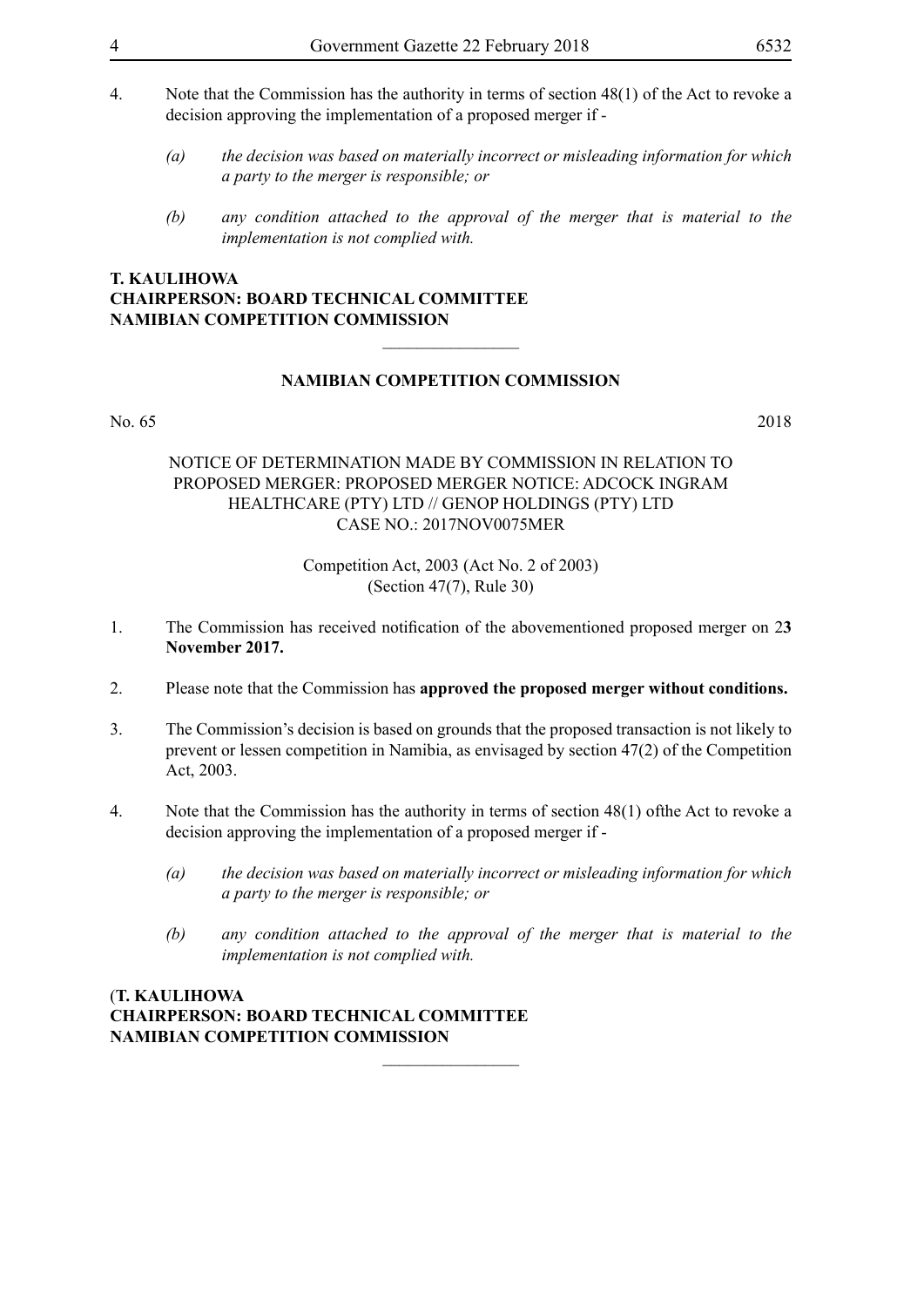- 4. Note that the Commission has the authority in terms of section 48(1) of the Act to revoke a decision approving the implementation of a proposed merger if -
	- *(a) the decision was based on materially incorrect or misleading information for which a party to the merger is responsible; or*
	- *(b) any condition attached to the approval of the merger that is material to the implementation is not complied with.*

# **T. KAULIHOWA Chairperson: BOARD TECHNICAL COMMITTEE Namibian Competition Commission**

# **NAMIBIAN COMPETITION COMMISSION**

 $\overline{\phantom{a}}$  , where  $\overline{\phantom{a}}$ 

#### No. 65 2018

# NOTICE OF DETERMINATION MADE BY COMMISSION IN RELATION TO PROPOSED MERGER: PROPOSED MERGER NOTICE: ADCOCK INGRAM HEALTHCARE (PTY) LTD // GENOP HOLDINGS (PTY) LTD CASE NO.: 2017NOV0075MER

# Competition Act, 2003 (Act No. 2 of 2003) (Section 47(7), Rule 30)

- 1. The Commission has received notification of the abovementioned proposed merger on 2**3 November 2017.**
- 2. Please note that the Commission has **approved the proposed merger without conditions.**
- 3. The Commission's decision is based on grounds that the proposed transaction is not likely to prevent or lessen competition in Namibia, as envisaged by section 47(2) of the Competition Act, 2003.
- 4. Note that the Commission has the authority in terms of section 48(1) ofthe Act to revoke a decision approving the implementation of a proposed merger if -

 $\frac{1}{2}$ 

- *(a) the decision was based on materially incorrect or misleading information for which a party to the merger is responsible; or*
- *(b) any condition attached to the approval of the merger that is material to the implementation is not complied with.*

# (**T. KAULIHOWA Chairperson: BOARD TECHNICAL COMMITTEE Namibian Competition Commission**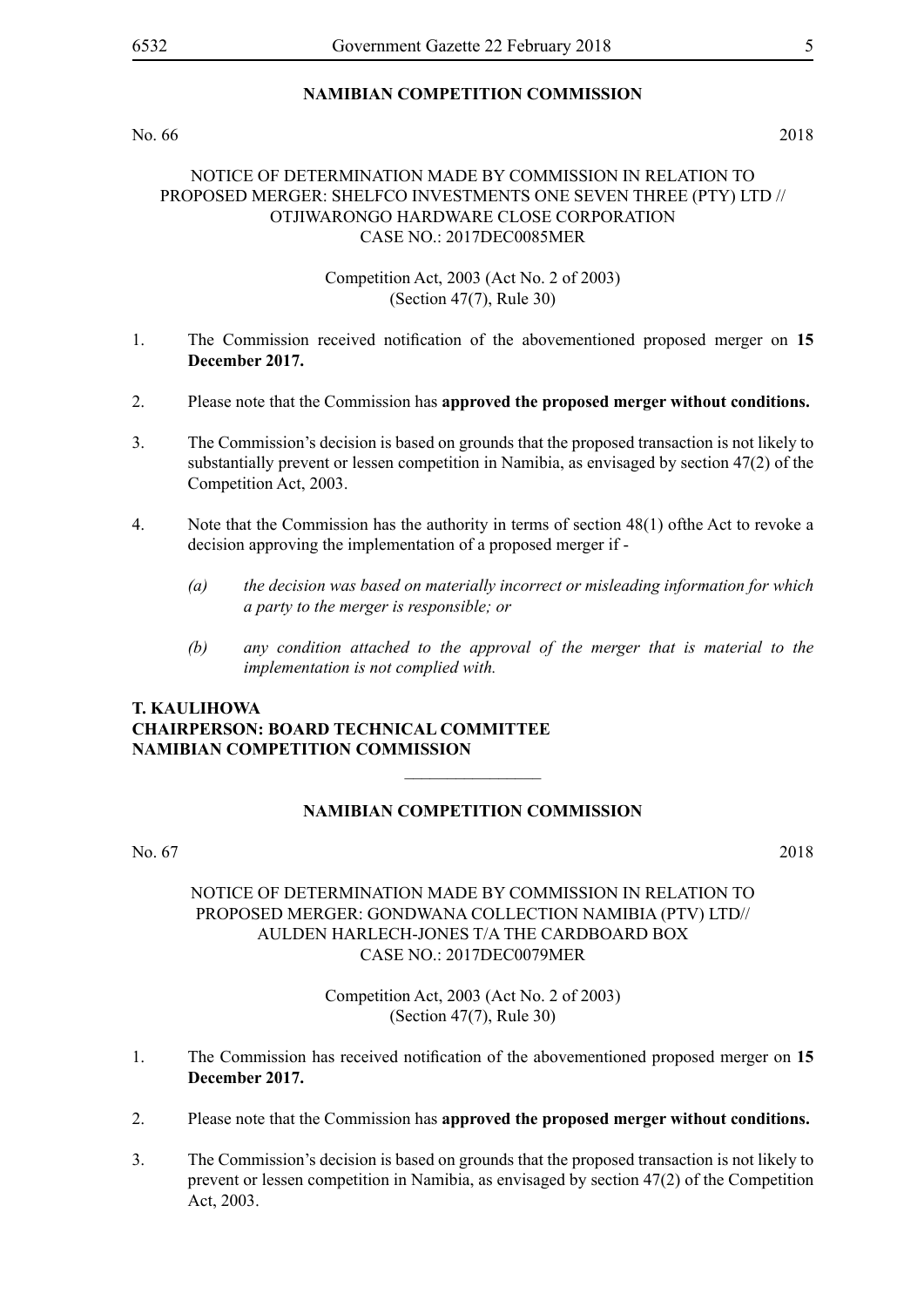No. 66 2018

# NOTICE OF DETERMINATION MADE BY COMMISSION IN RELATION TO PROPOSED MERGER: SHELFCO INVESTMENTS ONE SEVEN THREE (PTY) LTD // OTJIWARONGO HARDWARE CLOSE CORPORATION CASE NO.: 2017DEC0085MER

# Competition Act, 2003 (Act No. 2 of 2003) (Section 47(7), Rule 30)

- 1. The Commission received notification of the abovementioned proposed merger on **15 December 2017.**
- 2. Please note that the Commission has **approved the proposed merger without conditions.**
- 3. The Commission's decision is based on grounds that the proposed transaction is not likely to substantially prevent or lessen competition in Namibia, as envisaged by section 47(2) of the Competition Act, 2003.
- 4. Note that the Commission has the authority in terms of section 48(1) ofthe Act to revoke a decision approving the implementation of a proposed merger if -
	- *(a) the decision was based on materially incorrect or misleading information for which a party to the merger is responsible; or*
	- *(b) any condition attached to the approval of the merger that is material to the implementation is not complied with.*

# **T. KAULIHOWA Chairperson: BOARD TECHNICAL COMMITTEE Namibian Competition Commission**

# **NAMIBIAN COMPETITION COMMISSION**

 $\overline{\phantom{a}}$  , where  $\overline{\phantom{a}}$ 

No. 67 2018

# NOTICE OF DETERMINATION MADE BY COMMISSION IN RELATION TO PROPOSED MERGER: GONDWANA COLLECTION NAMIBIA (PTV) LTD// AULDEN HARLECH-JONES T/A THE CARDBOARD BOX CASE NO.: 2017DEC0079MER

Competition Act, 2003 (Act No. 2 of 2003) (Section 47(7), Rule 30)

- 1. The Commission has received notification of the abovementioned proposed merger on **15 December 2017.**
- 2. Please note that the Commission has **approved the proposed merger without conditions.**
- 3. The Commission's decision is based on grounds that the proposed transaction is not likely to prevent or lessen competition in Namibia, as envisaged by section 47(2) of the Competition Act, 2003.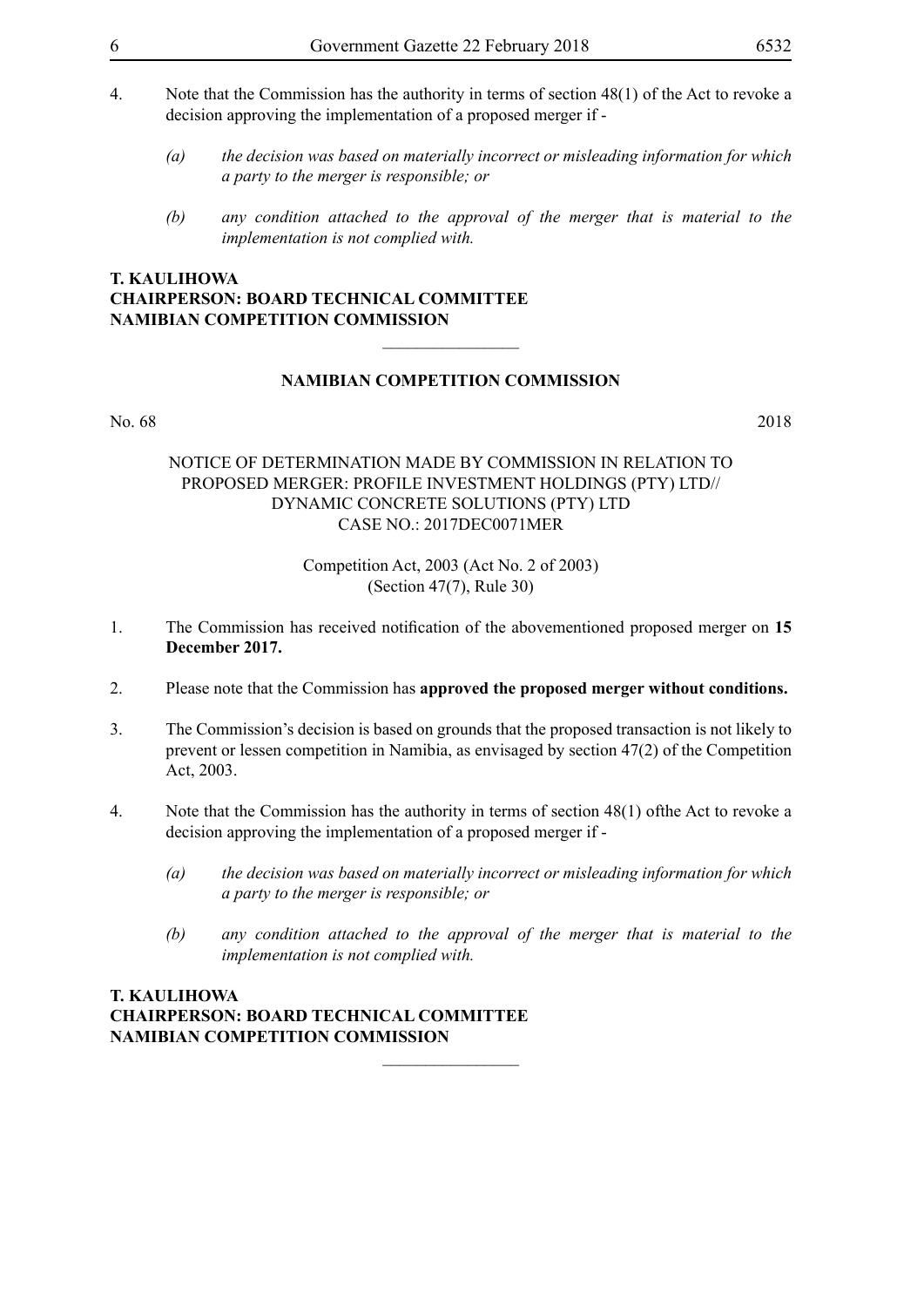- 4. Note that the Commission has the authority in terms of section 48(1) of the Act to revoke a decision approving the implementation of a proposed merger if -
	- *(a) the decision was based on materially incorrect or misleading information for which a party to the merger is responsible; or*
	- *(b) any condition attached to the approval of the merger that is material to the implementation is not complied with.*

# **T. KAULIHOWA Chairperson: BOARD TECHNICAL COMMITTEE Namibian Competition Commission**

# **NAMIBIAN COMPETITION COMMISSION**

 $\overline{\phantom{a}}$  , where  $\overline{\phantom{a}}$ 

#### No. 68 2018

# NOTICE OF DETERMINATION MADE BY COMMISSION IN RELATION TO PROPOSED MERGER: PROFILE INVESTMENT HOLDINGS (PTY) LTD// DYNAMIC CONCRETE SOLUTIONS (PTY) LTD CASE NO.: 2017DEC0071MER

# Competition Act, 2003 (Act No. 2 of 2003) (Section 47(7), Rule 30)

- 1. The Commission has received notification of the abovementioned proposed merger on **15 December 2017.**
- 2. Please note that the Commission has **approved the proposed merger without conditions.**
- 3. The Commission's decision is based on grounds that the proposed transaction is not likely to prevent or lessen competition in Namibia, as envisaged by section 47(2) of the Competition Act, 2003.
- 4. Note that the Commission has the authority in terms of section 48(1) ofthe Act to revoke a decision approving the implementation of a proposed merger if -

 $\frac{1}{2}$ 

- *(a) the decision was based on materially incorrect or misleading information for which a party to the merger is responsible; or*
- *(b) any condition attached to the approval of the merger that is material to the implementation is not complied with.*

# **T. KAULIHOWA Chairperson: BOARD TECHNICAL COMMITTEE Namibian Competition Commission**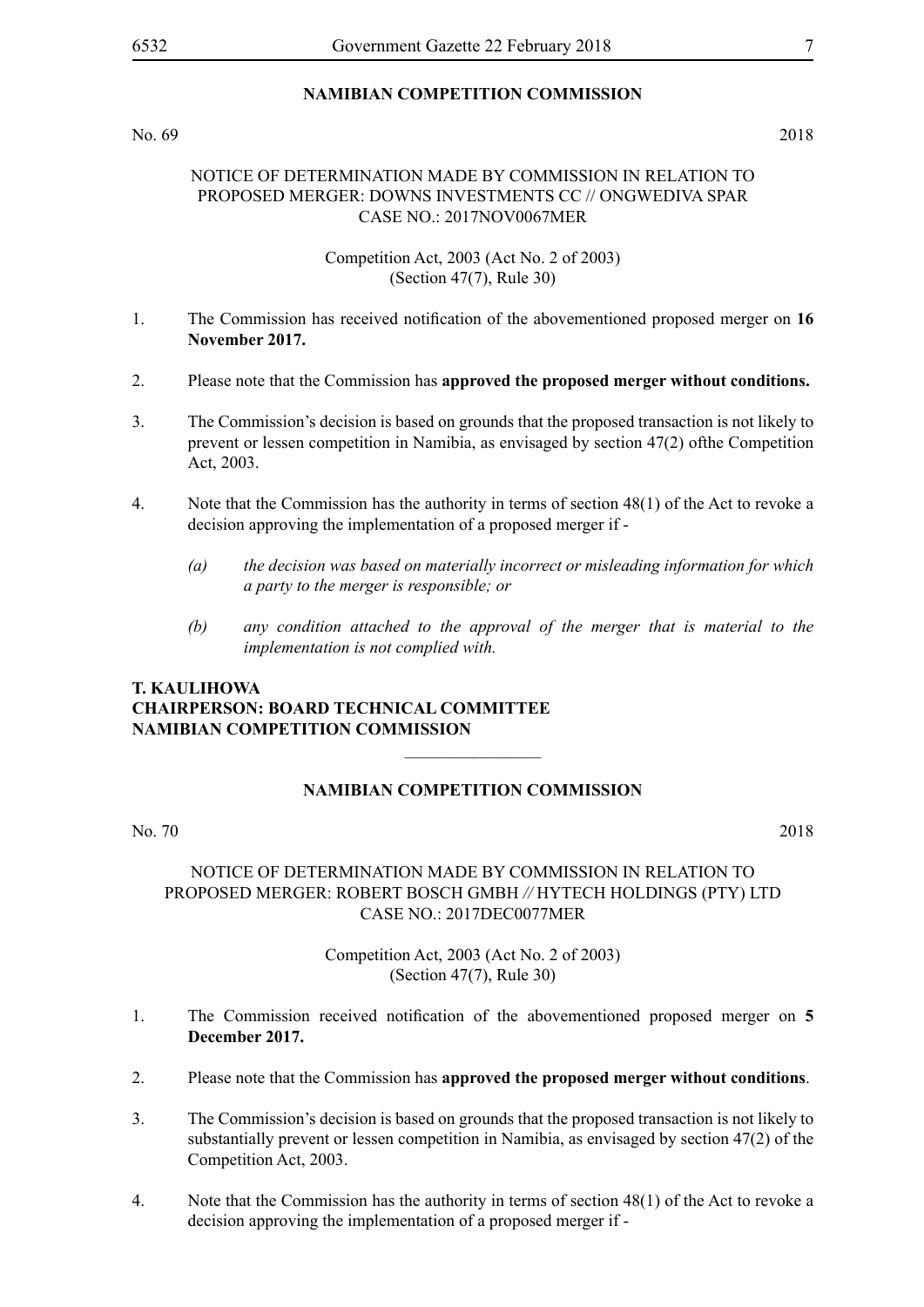No. 69 2018

# NOTICE OF DETERMINATION MADE BY COMMISSION IN RELATION TO PROPOSED MERGER: DOWNS INVESTMENTS CC // ONGWEDIVA SPAR CASE NO.: 2017NOV0067MER

Competition Act, 2003 (Act No. 2 of 2003) (Section 47(7), Rule 30)

- 1. The Commission has received notification of the abovementioned proposed merger on **16 November 2017.**
- 2. Please note that the Commission has **approved the proposed merger without conditions.**
- 3. The Commission's decision is based on grounds that the proposed transaction is not likely to prevent or lessen competition in Namibia, as envisaged by section 47(2) ofthe Competition Act, 2003.
- 4. Note that the Commission has the authority in terms of section 48(1) of the Act to revoke a decision approving the implementation of a proposed merger if -
	- *(a) the decision was based on materially incorrect or misleading information for which a party to the merger is responsible; or*
	- *(b) any condition attached to the approval of the merger that is material to the implementation is not complied with.*

# **T. KAULIHOWA Chairperson: BOARD TECHNICAL COMMITTEE Namibian Competition Commission**

# **NAMIBIAN COMPETITION COMMISSION**

 $\frac{1}{2}$ 

No. 70 2018

# NOTICE OF DETERMINATION MADE BY COMMISSION IN RELATION TO PROPOSED MERGER: ROBERT BOSCH GMBH *//* HYTECH HOLDINGS (PTY) LTD CASE NO.: 2017DEC0077MER

# Competition Act, 2003 (Act No. 2 of 2003) (Section 47(7), Rule 30)

- 1. The Commission received notification of the abovementioned proposed merger on **5 December 2017.**
- 2. Please note that the Commission has **approved the proposed merger without conditions**.
- 3. The Commission's decision is based on grounds that the proposed transaction is not likely to substantially prevent or lessen competition in Namibia, as envisaged by section 47(2) of the Competition Act, 2003.
- 4. Note that the Commission has the authority in terms of section 48(1) of the Act to revoke a decision approving the implementation of a proposed merger if -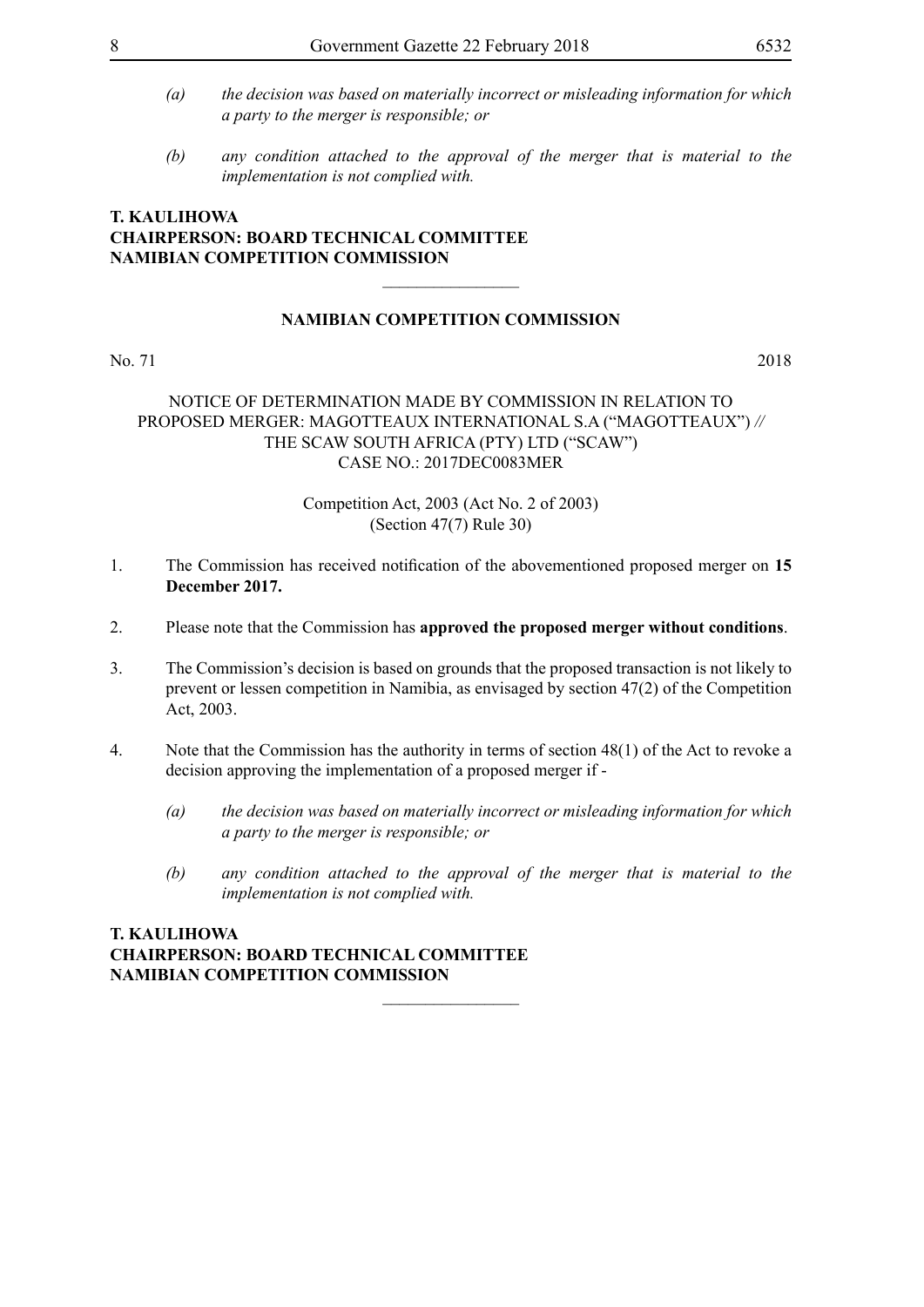- *(a) the decision was based on materially incorrect or misleading information for which a party to the merger is responsible; or*
- *(b) any condition attached to the approval of the merger that is material to the implementation is not complied with.*

# **T. KAULIHOWA Chairperson: BOARD TECHNICAL COMMITTEE Namibian Competition Commission**

# **NAMIBIAN COMPETITION COMMISSION**

 $\frac{1}{2}$ 

No. 71 2018

# NOTICE OF DETERMINATION MADE BY COMMISSION IN RELATION TO PROPOSED MERGER: MAGOTTEAUX INTERNATIONAL S.A ("MAGOTTEAUX") *//*  THE SCAW SOUTH AFRICA (PTY) LTD ("SCAW") CASE NO.: 2017DEC0083MER

# Competition Act, 2003 (Act No. 2 of 2003) (Section 47(7) Rule 30)

- 1. The Commission has received notification of the abovementioned proposed merger on **15 December 2017.**
- 2. Please note that the Commission has **approved the proposed merger without conditions**.
- 3. The Commission's decision is based on grounds that the proposed transaction is not likely to prevent or lessen competition in Namibia, as envisaged by section 47(2) of the Competition Act, 2003.
- 4. Note that the Commission has the authority in terms of section 48(1) of the Act to revoke a decision approving the implementation of a proposed merger if -

 $\overline{\phantom{a}}$  , where  $\overline{\phantom{a}}$ 

- *(a) the decision was based on materially incorrect or misleading information for which a party to the merger is responsible; or*
- *(b) any condition attached to the approval of the merger that is material to the implementation is not complied with.*

# **T. KAULIHOWA Chairperson: BOARD TECHNICAL COMMITTEE Namibian Competition Commission**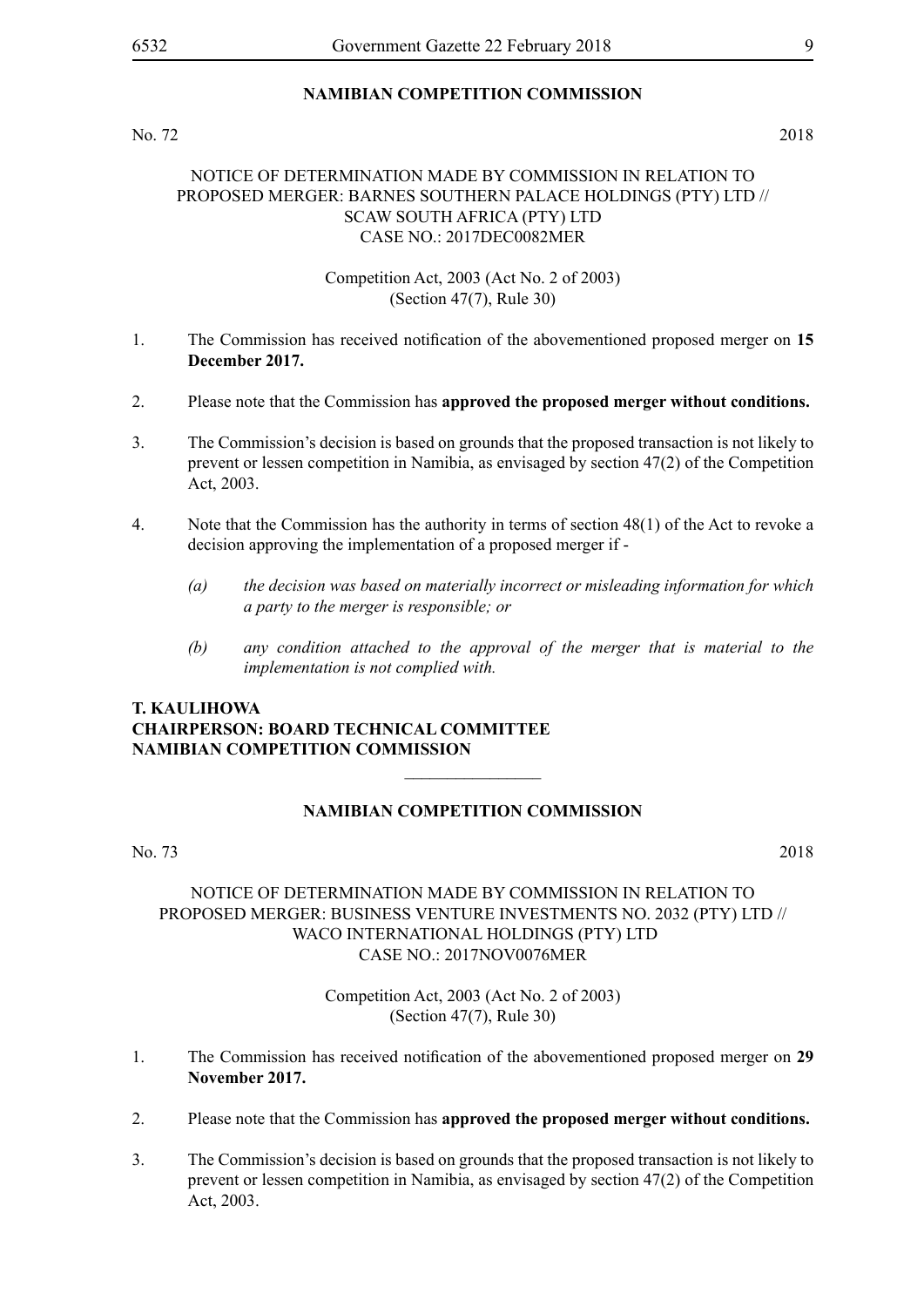# No. 72 2018

# NOTICE OF DETERMINATION MADE BY COMMISSION IN RELATION TO PROPOSED MERGER: BARNES SOUTHERN PALACE HOLDINGS (PTY) LTD // SCAW SOUTH AFRICA (PTY) LTD CASE NO.: 2017DEC0082MER

Competition Act, 2003 (Act No. 2 of 2003) (Section 47(7), Rule 30)

- 1. The Commission has received notification of the abovementioned proposed merger on **15 December 2017.**
- 2. Please note that the Commission has **approved the proposed merger without conditions.**
- 3. The Commission's decision is based on grounds that the proposed transaction is not likely to prevent or lessen competition in Namibia, as envisaged by section 47(2) of the Competition Act, 2003.
- 4. Note that the Commission has the authority in terms of section 48(1) of the Act to revoke a decision approving the implementation of a proposed merger if -
	- *(a) the decision was based on materially incorrect or misleading information for which a party to the merger is responsible; or*
	- *(b) any condition attached to the approval of the merger that is material to the implementation is not complied with.*

# **T. KAULIHOWA Chairperson: BOARD TECHNICAL COMMITTEE Namibian Competition Commission**

# **NAMIBIAN COMPETITION COMMISSION**

 $\overline{\phantom{a}}$  , where  $\overline{\phantom{a}}$ 

### No. 73 2018

# NOTICE OF DETERMINATION MADE BY COMMISSION IN RELATION TO PROPOSED MERGER: BUSINESS VENTURE INVESTMENTS NO. 2032 (PTY) LTD // WACO INTERNATIONAL HOLDINGS (PTY) LTD CASE NO.: 2017NOV0076MER

Competition Act, 2003 (Act No. 2 of 2003) (Section 47(7), Rule 30)

- 1. The Commission has received notification of the abovementioned proposed merger on **29 November 2017.**
- 2. Please note that the Commission has **approved the proposed merger without conditions.**
- 3. The Commission's decision is based on grounds that the proposed transaction is not likely to prevent or lessen competition in Namibia, as envisaged by section 47(2) of the Competition Act, 2003.